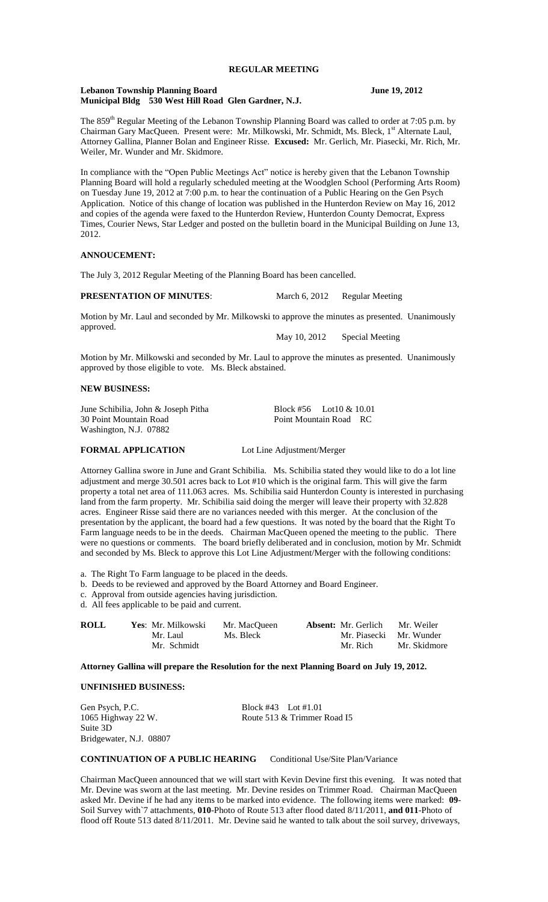#### **Lebanon Township Planning Board June 19, 2012 Municipal Bldg 530 West Hill Road Glen Gardner, N.J.**

The 859<sup>th</sup> Regular Meeting of the Lebanon Township Planning Board was called to order at 7:05 p.m. by Chairman Gary MacQueen. Present were: Mr. Milkowski, Mr. Schmidt, Ms. Bleck, 1<sup>st</sup> Alternate Laul, Attorney Gallina, Planner Bolan and Engineer Risse. **Excused:** Mr. Gerlich, Mr. Piasecki, Mr. Rich, Mr. Weiler, Mr. Wunder and Mr. Skidmore.

In compliance with the "Open Public Meetings Act" notice is hereby given that the Lebanon Township Planning Board will hold a regularly scheduled meeting at the Woodglen School (Performing Arts Room) on Tuesday June 19, 2012 at 7:00 p.m. to hear the continuation of a Public Hearing on the Gen Psych Application. Notice of this change of location was published in the Hunterdon Review on May 16, 2012 and copies of the agenda were faxed to the Hunterdon Review, Hunterdon County Democrat, Express Times, Courier News, Star Ledger and posted on the bulletin board in the Municipal Building on June 13, 2012.

# **ANNOUCEMENT:**

The July 3, 2012 Regular Meeting of the Planning Board has been cancelled.

### **PRESENTATION OF MINUTES:** March 6, 2012 Regular Meeting

Motion by Mr. Laul and seconded by Mr. Milkowski to approve the minutes as presented. Unanimously approved.

May 10, 2012 Special Meeting

Motion by Mr. Milkowski and seconded by Mr. Laul to approve the minutes as presented. Unanimously approved by those eligible to vote. Ms. Bleck abstained.

## **NEW BUSINESS:**

June Schibilia, John & Joseph Pitha Block #56 Lot10 & 10.01 30 Point Mountain Road Point Mountain Road RC Washington, N.J. 07882

## **FORMAL APPLICATION** Lot Line Adjustment/Merger

Attorney Gallina swore in June and Grant Schibilia. Ms. Schibilia stated they would like to do a lot line adjustment and merge 30.501 acres back to Lot #10 which is the original farm. This will give the farm property a total net area of 111.063 acres. Ms. Schibilia said Hunterdon County is interested in purchasing land from the farm property. Mr. Schibilia said doing the merger will leave their property with 32.828 acres. Engineer Risse said there are no variances needed with this merger. At the conclusion of the presentation by the applicant, the board had a few questions. It was noted by the board that the Right To Farm language needs to be in the deeds. Chairman MacQueen opened the meeting to the public. There were no questions or comments. The board briefly deliberated and in conclusion, motion by Mr. Schmidt and seconded by Ms. Bleck to approve this Lot Line Adjustment/Merger with the following conditions:

a. The Right To Farm language to be placed in the deeds.

- b. Deeds to be reviewed and approved by the Board Attorney and Board Engineer.
- c. Approval from outside agencies having jurisdiction.

d. All fees applicable to be paid and current.

| <b>ROLL</b> | Yes: Mr. Milkowski | Mr. MacOueen | <b>Absent:</b> Mr. Gerlich | Mr. Weiler   |
|-------------|--------------------|--------------|----------------------------|--------------|
|             | Mr. Laul           | Ms. Bleck    | Mr. Piasecki Mr. Wunder    |              |
|             | Mr. Schmidt        |              | Mr. Rich                   | Mr. Skidmore |

**Attorney Gallina will prepare the Resolution for the next Planning Board on July 19, 2012.**

#### **UNFINISHED BUSINESS:**

Suite 3D Bridgewater, N.J. 08807

Gen Psych, P.C. Block #43 Lot #1.01 1065 Highway 22 W. Route 513 & Trimmer Road I5

### **CONTINUATION OF A PUBLIC HEARING** Conditional Use/Site Plan/Variance

Chairman MacQueen announced that we will start with Kevin Devine first this evening. It was noted that Mr. Devine was sworn at the last meeting. Mr. Devine resides on Trimmer Road. Chairman MacQueen asked Mr. Devine if he had any items to be marked into evidence. The following items were marked: **09**- Soil Survey with`7 attachments, **010**-Photo of Route 513 after flood dated 8/11/2011, **and 011**-Photo of flood off Route 513 dated 8/11/2011. Mr. Devine said he wanted to talk about the soil survey, driveways,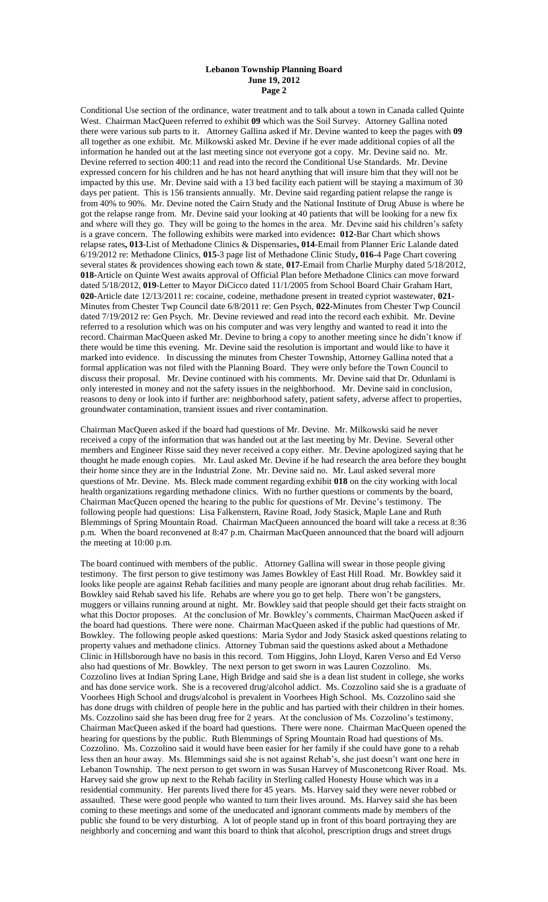#### **Lebanon Township Planning Board June 19, 2012 Page 2**

Conditional Use section of the ordinance, water treatment and to talk about a town in Canada called Quinte West. Chairman MacQueen referred to exhibit **09** which was the Soil Survey. Attorney Gallina noted there were various sub parts to it. Attorney Gallina asked if Mr. Devine wanted to keep the pages with **09**  all together as one exhibit. Mr. Milkowski asked Mr. Devine if he ever made additional copies of all the information he handed out at the last meeting since not everyone got a copy. Mr. Devine said no. Mr. Devine referred to section 400:11 and read into the record the Conditional Use Standards. Mr. Devine expressed concern for his children and he has not heard anything that will insure him that they will not be impacted by this use. Mr. Devine said with a 13 bed facility each patient will be staying a maximum of 30 days per patient. This is 156 transients annually. Mr. Devine said regarding patient relapse the range is from 40% to 90%. Mr. Devine noted the Cairn Study and the National Institute of Drug Abuse is where he got the relapse range from. Mr. Devine said your looking at 40 patients that will be looking for a new fix and where will they go. They will be going to the homes in the area. Mr. Devine said his children's safety is a grave concern. The following exhibits were marked into evidence**: 012**-Bar Chart which shows relapse rates**, 013**-List of Methadone Clinics & Dispensaries**, 014**-Email from Planner Eric Lalande dated 6/19/2012 re: Methadone Clinics, **015**-3 page list of Methadone Clinic Study**, 016-**4 Page Chart covering several states & providences showing each town & state, **017-**Email from Charlie Murphy dated 5/18/2012, **018-**Article on Quinte West awaits approval of Official Plan before Methadone Clinics can move forward dated 5/18/2012, **019**-Letter to Mayor DiCicco dated 11/1/2005 from School Board Chair Graham Hart, **020-**Article date 12/13/2011 re: cocaine, codeine, methadone present in treated cypriot wastewater, **021-** Minutes from Chester Twp Council date 6/8/2011 re: Gen Psych, **022-**Minutes from Chester Twp Council dated 7/19/2012 re: Gen Psych. Mr. Devine reviewed and read into the record each exhibit. Mr. Devine referred to a resolution which was on his computer and was very lengthy and wanted to read it into the record. Chairman MacQueen asked Mr. Devine to bring a copy to another meeting since he didn't know if there would be time this evening. Mr. Devine said the resolution is important and would like to have it marked into evidence. In discussing the minutes from Chester Township, Attorney Gallina noted that a formal application was not filed with the Planning Board. They were only before the Town Council to discuss their proposal. Mr. Devine continued with his comments. Mr. Devine said that Dr. Odunlami is only interested in money and not the safety issues in the neighborhood. Mr. Devine said in conclusion, reasons to deny or look into if further are: neighborhood safety, patient safety, adverse affect to properties, groundwater contamination, transient issues and river contamination.

Chairman MacQueen asked if the board had questions of Mr. Devine. Mr. Milkowski said he never received a copy of the information that was handed out at the last meeting by Mr. Devine. Several other members and Engineer Risse said they never received a copy either. Mr. Devine apologized saying that he thought he made enough copies. Mr. Laul asked Mr. Devine if he had research the area before they bought their home since they are in the Industrial Zone. Mr. Devine said no. Mr. Laul asked several more questions of Mr. Devine. Ms. Bleck made comment regarding exhibit **018** on the city working with local health organizations regarding methadone clinics. With no further questions or comments by the board, Chairman MacQueen opened the hearing to the public for questions of Mr. Devine's testimony. The following people had questions: Lisa Falkenstern, Ravine Road, Jody Stasick, Maple Lane and Ruth Blemmings of Spring Mountain Road. Chairman MacQueen announced the board will take a recess at 8:36 p.m. When the board reconvened at 8:47 p.m. Chairman MacQueen announced that the board will adjourn the meeting at 10:00 p.m.

The board continued with members of the public. Attorney Gallina will swear in those people giving testimony. The first person to give testimony was James Bowkley of East Hill Road. Mr. Bowkley said it looks like people are against Rehab facilities and many people are ignorant about drug rehab facilities. Mr. Bowkley said Rehab saved his life. Rehabs are where you go to get help. There won't be gangsters, muggers or villains running around at night. Mr. Bowkley said that people should get their facts straight on what this Doctor proposes. At the conclusion of Mr. Bowkley's comments, Chairman MacQueen asked if the board had questions. There were none. Chairman MacQueen asked if the public had questions of Mr. Bowkley. The following people asked questions: Maria Sydor and Jody Stasick asked questions relating to property values and methadone clinics. Attorney Tubman said the questions asked about a Methadone Clinic in Hillsborough have no basis in this record. Tom Higgins, John Lloyd, Karen Verso and Ed Verso also had questions of Mr. Bowkley. The next person to get sworn in was Lauren Cozzolino. Ms. Cozzolino lives at Indian Spring Lane, High Bridge and said she is a dean list student in college, she works and has done service work. She is a recovered drug/alcohol addict. Ms. Cozzolino said she is a graduate of Voorhees High School and drugs/alcohol is prevalent in Voorhees High School. Ms. Cozzolino said she has done drugs with children of people here in the public and has partied with their children in their homes. Ms. Cozzolino said she has been drug free for 2 years. At the conclusion of Ms. Cozzolino's testimony, Chairman MacQueen asked if the board had questions. There were none. Chairman MacQueen opened the hearing for questions by the public. Ruth Blemmings of Spring Mountain Road had questions of Ms. Cozzolino. Ms. Cozzolino said it would have been easier for her family if she could have gone to a rehab less then an hour away. Ms. Blemmings said she is not against Rehab's, she just doesn't want one here in Lebanon Township. The next person to get sworn in was Susan Harvey of Musconetcong River Road. Ms. Harvey said she grow up next to the Rehab facility in Sterling called Honesty House which was in a residential community. Her parents lived there for 45 years. Ms. Harvey said they were never robbed or assaulted. These were good people who wanted to turn their lives around. Ms. Harvey said she has been coming to these meetings and some of the uneducated and ignorant comments made by members of the public she found to be very disturbing. A lot of people stand up in front of this board portraying they are neighborly and concerning and want this board to think that alcohol, prescription drugs and street drugs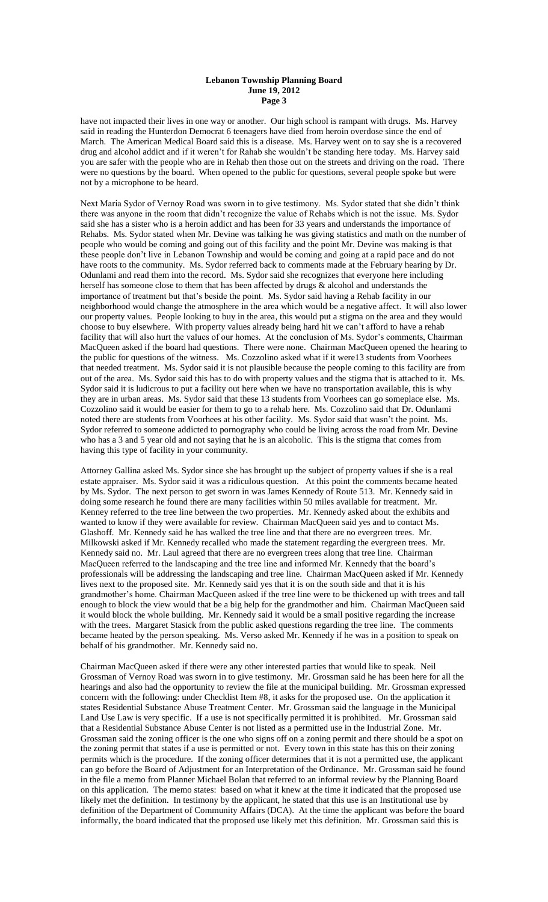#### **Lebanon Township Planning Board June 19, 2012 Page 3**

have not impacted their lives in one way or another. Our high school is rampant with drugs. Ms. Harvey said in reading the Hunterdon Democrat 6 teenagers have died from heroin overdose since the end of March. The American Medical Board said this is a disease. Ms. Harvey went on to say she is a recovered drug and alcohol addict and if it weren't for Rahab she wouldn't be standing here today. Ms. Harvey said you are safer with the people who are in Rehab then those out on the streets and driving on the road. There were no questions by the board. When opened to the public for questions, several people spoke but were not by a microphone to be heard.

Next Maria Sydor of Vernoy Road was sworn in to give testimony. Ms. Sydor stated that she didn't think there was anyone in the room that didn't recognize the value of Rehabs which is not the issue. Ms. Sydor said she has a sister who is a heroin addict and has been for 33 years and understands the importance of Rehabs. Ms. Sydor stated when Mr. Devine was talking he was giving statistics and math on the number of people who would be coming and going out of this facility and the point Mr. Devine was making is that these people don't live in Lebanon Township and would be coming and going at a rapid pace and do not have roots to the community. Ms. Sydor referred back to comments made at the February hearing by Dr. Odunlami and read them into the record. Ms. Sydor said she recognizes that everyone here including herself has someone close to them that has been affected by drugs & alcohol and understands the importance of treatment but that's beside the point. Ms. Sydor said having a Rehab facility in our neighborhood would change the atmosphere in the area which would be a negative affect. It will also lower our property values. People looking to buy in the area, this would put a stigma on the area and they would choose to buy elsewhere. With property values already being hard hit we can't afford to have a rehab facility that will also hurt the values of our homes. At the conclusion of Ms. Sydor's comments, Chairman MacQueen asked if the board had questions. There were none. Chairman MacQueen opened the hearing to the public for questions of the witness. Ms. Cozzolino asked what if it were13 students from Voorhees that needed treatment. Ms. Sydor said it is not plausible because the people coming to this facility are from out of the area. Ms. Sydor said this has to do with property values and the stigma that is attached to it. Ms. Sydor said it is ludicrous to put a facility out here when we have no transportation available, this is why they are in urban areas. Ms. Sydor said that these 13 students from Voorhees can go someplace else. Ms. Cozzolino said it would be easier for them to go to a rehab here. Ms. Cozzolino said that Dr. Odunlami noted there are students from Voorhees at his other facility. Ms. Sydor said that wasn't the point. Ms. Sydor referred to someone addicted to pornography who could be living across the road from Mr. Devine who has a 3 and 5 year old and not saying that he is an alcoholic. This is the stigma that comes from having this type of facility in your community.

Attorney Gallina asked Ms. Sydor since she has brought up the subject of property values if she is a real estate appraiser. Ms. Sydor said it was a ridiculous question. At this point the comments became heated by Ms. Sydor. The next person to get sworn in was James Kennedy of Route 513. Mr. Kennedy said in doing some research he found there are many facilities within 50 miles available for treatment. Mr. Kenney referred to the tree line between the two properties. Mr. Kennedy asked about the exhibits and wanted to know if they were available for review. Chairman MacQueen said yes and to contact Ms. Glashoff. Mr. Kennedy said he has walked the tree line and that there are no evergreen trees. Mr. Milkowski asked if Mr. Kennedy recalled who made the statement regarding the evergreen trees. Mr. Kennedy said no. Mr. Laul agreed that there are no evergreen trees along that tree line. Chairman MacQueen referred to the landscaping and the tree line and informed Mr. Kennedy that the board's professionals will be addressing the landscaping and tree line. Chairman MacQueen asked if Mr. Kennedy lives next to the proposed site. Mr. Kennedy said yes that it is on the south side and that it is his grandmother's home. Chairman MacQueen asked if the tree line were to be thickened up with trees and tall enough to block the view would that be a big help for the grandmother and him. Chairman MacQueen said it would block the whole building. Mr. Kennedy said it would be a small positive regarding the increase with the trees. Margaret Stasick from the public asked questions regarding the tree line. The comments became heated by the person speaking. Ms. Verso asked Mr. Kennedy if he was in a position to speak on behalf of his grandmother. Mr. Kennedy said no.

Chairman MacQueen asked if there were any other interested parties that would like to speak. Neil Grossman of Vernoy Road was sworn in to give testimony. Mr. Grossman said he has been here for all the hearings and also had the opportunity to review the file at the municipal building. Mr. Grossman expressed concern with the following: under Checklist Item #8, it asks for the proposed use. On the application it states Residential Substance Abuse Treatment Center. Mr. Grossman said the language in the Municipal Land Use Law is very specific. If a use is not specifically permitted it is prohibited. Mr. Grossman said that a Residential Substance Abuse Center is not listed as a permitted use in the Industrial Zone. Mr. Grossman said the zoning officer is the one who signs off on a zoning permit and there should be a spot on the zoning permit that states if a use is permitted or not. Every town in this state has this on their zoning permits which is the procedure. If the zoning officer determines that it is not a permitted use, the applicant can go before the Board of Adjustment for an Interpretation of the Ordinance. Mr. Grossman said he found in the file a memo from Planner Michael Bolan that referred to an informal review by the Planning Board on this application. The memo states: based on what it knew at the time it indicated that the proposed use likely met the definition. In testimony by the applicant, he stated that this use is an Institutional use by definition of the Department of Community Affairs (DCA). At the time the applicant was before the board informally, the board indicated that the proposed use likely met this definition. Mr. Grossman said this is